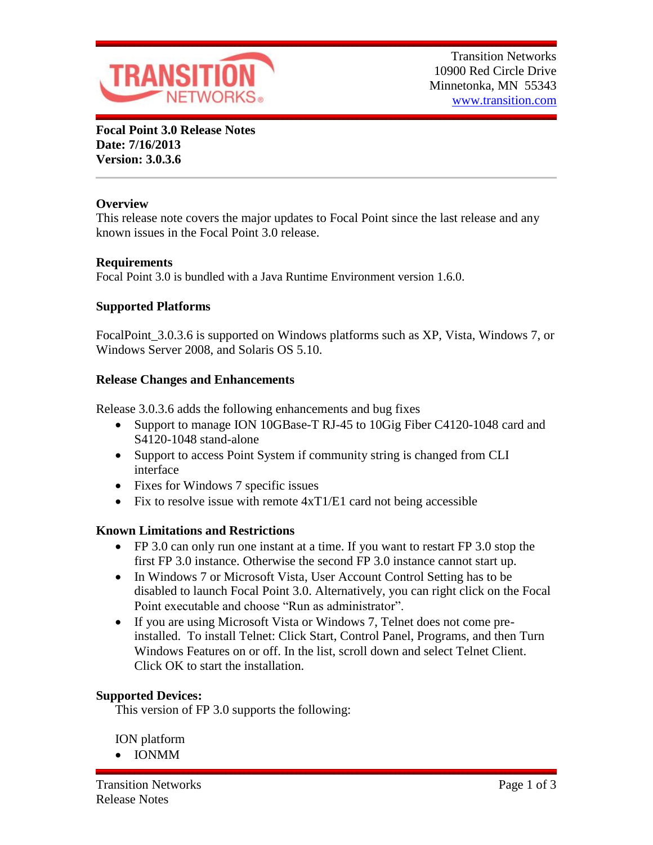

**Focal Point 3.0 Release Notes Date: 7/16/2013 Version: 3.0.3.6**

# **Overview**

This release note covers the major updates to Focal Point since the last release and any known issues in the Focal Point 3.0 release.

# **Requirements**

Focal Point 3.0 is bundled with a Java Runtime Environment version 1.6.0.

# **Supported Platforms**

FocalPoint\_3.0.3.6 is supported on Windows platforms such as XP, Vista, Windows 7, or Windows Server 2008, and Solaris OS 5.10.

### **Release Changes and Enhancements**

Release 3.0.3.6 adds the following enhancements and bug fixes

- Support to manage ION 10GBase-T RJ-45 to 10Gig Fiber C4120-1048 card and S4120-1048 stand-alone
- Support to access Point System if community string is changed from CLI interface
- Fixes for Windows 7 specific issues
- Fix to resolve issue with remote  $4xT1/E1$  card not being accessible

# **Known Limitations and Restrictions**

- FP 3.0 can only run one instant at a time. If you want to restart FP 3.0 stop the first FP 3.0 instance. Otherwise the second FP 3.0 instance cannot start up.
- In Windows 7 or Microsoft Vista, User Account Control Setting has to be disabled to launch Focal Point 3.0. Alternatively, you can right click on the Focal Point executable and choose "Run as administrator".
- If you are using Microsoft Vista or Windows 7, Telnet does not come preinstalled. To install Telnet: Click Start, Control Panel, Programs, and then Turn Windows Features on or off. In the list, scroll down and select Telnet Client. Click OK to start the installation.

# **Supported Devices:**

This version of FP 3.0 supports the following:

ION platform

IONMM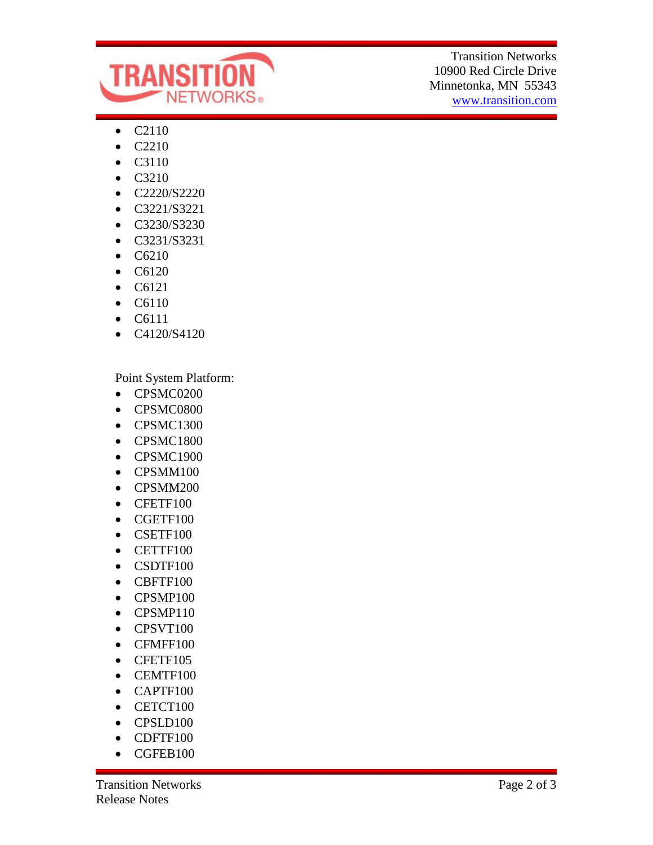

Transition Networks 10900 Red Circle Drive Minnetonka, MN 55343 www.transition.com

- C2110
- $\bullet$  C2210
- C3110
- C3210
- C2220/S2220
- C3221/S3221
- C3230/S3230
- C3231/S3231
- $\bullet$  C6210
- $\bullet$  C6120
- $\bullet$  C6121
- C6110
- C6111
- C4120/S4120

Point System Platform:

- CPSMC0200
- CPSMC0800
- CPSMC1300
- CPSMC1800
- CPSMC1900
- CPSMM100
- CPSMM200
- CFETF100
- CGETF100
- CSETF100
- CETTF100
- CSDTF100
- CBFTF100
- CPSMP100
- CPSMP110
- CPSVT100
- CFMFF100
- CFETF105
- CEMTF100
- CAPTF100
- $\bullet$  CETCT100
- CPSLD100
- CDFTF100
- CGFEB100